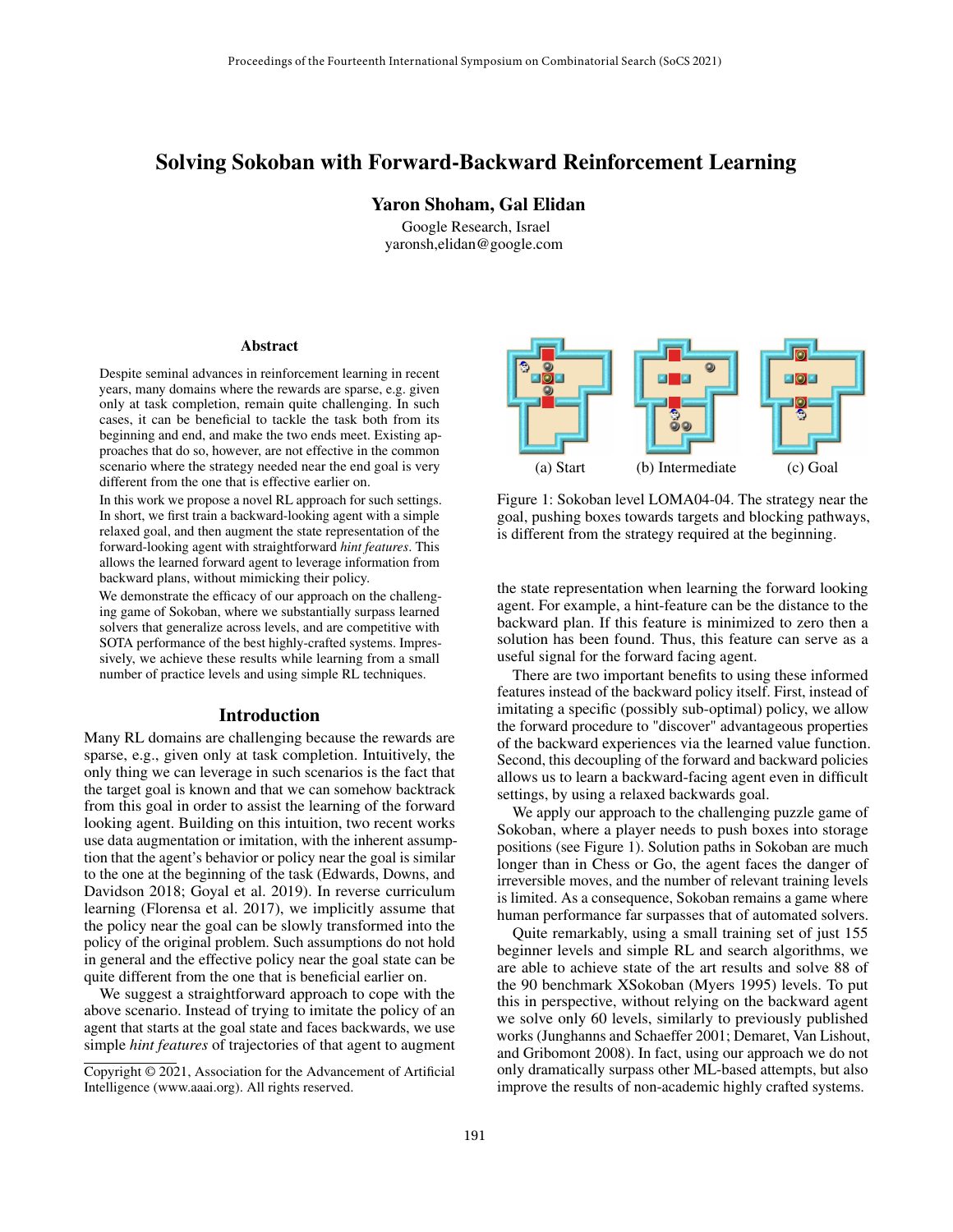# Solving Sokoban with Forward-Backward Reinforcement Learning

Yaron Shoham, Gal Elidan

Google Research, Israel yaronsh,elidan@google.com

#### Abstract

Despite seminal advances in reinforcement learning in recent years, many domains where the rewards are sparse, e.g. given only at task completion, remain quite challenging. In such cases, it can be beneficial to tackle the task both from its beginning and end, and make the two ends meet. Existing approaches that do so, however, are not effective in the common scenario where the strategy needed near the end goal is very different from the one that is effective earlier on.

In this work we propose a novel RL approach for such settings. In short, we first train a backward-looking agent with a simple relaxed goal, and then augment the state representation of the forward-looking agent with straightforward *hint features*. This allows the learned forward agent to leverage information from backward plans, without mimicking their policy.

We demonstrate the efficacy of our approach on the challenging game of Sokoban, where we substantially surpass learned solvers that generalize across levels, and are competitive with SOTA performance of the best highly-crafted systems. Impressively, we achieve these results while learning from a small number of practice levels and using simple RL techniques.

#### Introduction

Many RL domains are challenging because the rewards are sparse, e.g., given only at task completion. Intuitively, the only thing we can leverage in such scenarios is the fact that the target goal is known and that we can somehow backtrack from this goal in order to assist the learning of the forward looking agent. Building on this intuition, two recent works use data augmentation or imitation, with the inherent assumption that the agent's behavior or policy near the goal is similar to the one at the beginning of the task (Edwards, Downs, and Davidson 2018; Goyal et al. 2019). In reverse curriculum learning (Florensa et al. 2017), we implicitly assume that the policy near the goal can be slowly transformed into the policy of the original problem. Such assumptions do not hold in general and the effective policy near the goal state can be quite different from the one that is beneficial earlier on.

We suggest a straightforward approach to cope with the above scenario. Instead of trying to imitate the policy of an agent that starts at the goal state and faces backwards, we use simple *hint features* of trajectories of that agent to augment



Figure 1: Sokoban level LOMA04-04. The strategy near the goal, pushing boxes towards targets and blocking pathways, is different from the strategy required at the beginning.

the state representation when learning the forward looking agent. For example, a hint-feature can be the distance to the backward plan. If this feature is minimized to zero then a solution has been found. Thus, this feature can serve as a useful signal for the forward facing agent.

There are two important benefits to using these informed features instead of the backward policy itself. First, instead of imitating a specific (possibly sub-optimal) policy, we allow the forward procedure to "discover" advantageous properties of the backward experiences via the learned value function. Second, this decoupling of the forward and backward policies allows us to learn a backward-facing agent even in difficult settings, by using a relaxed backwards goal.

We apply our approach to the challenging puzzle game of Sokoban, where a player needs to push boxes into storage positions (see Figure 1). Solution paths in Sokoban are much longer than in Chess or Go, the agent faces the danger of irreversible moves, and the number of relevant training levels is limited. As a consequence, Sokoban remains a game where human performance far surpasses that of automated solvers.

Quite remarkably, using a small training set of just 155 beginner levels and simple RL and search algorithms, we are able to achieve state of the art results and solve 88 of the 90 benchmark XSokoban (Myers 1995) levels. To put this in perspective, without relying on the backward agent we solve only 60 levels, similarly to previously published works (Junghanns and Schaeffer 2001; Demaret, Van Lishout, and Gribomont 2008). In fact, using our approach we do not only dramatically surpass other ML-based attempts, but also improve the results of non-academic highly crafted systems.

Copyright © 2021, Association for the Advancement of Artificial Intelligence (www.aaai.org). All rights reserved.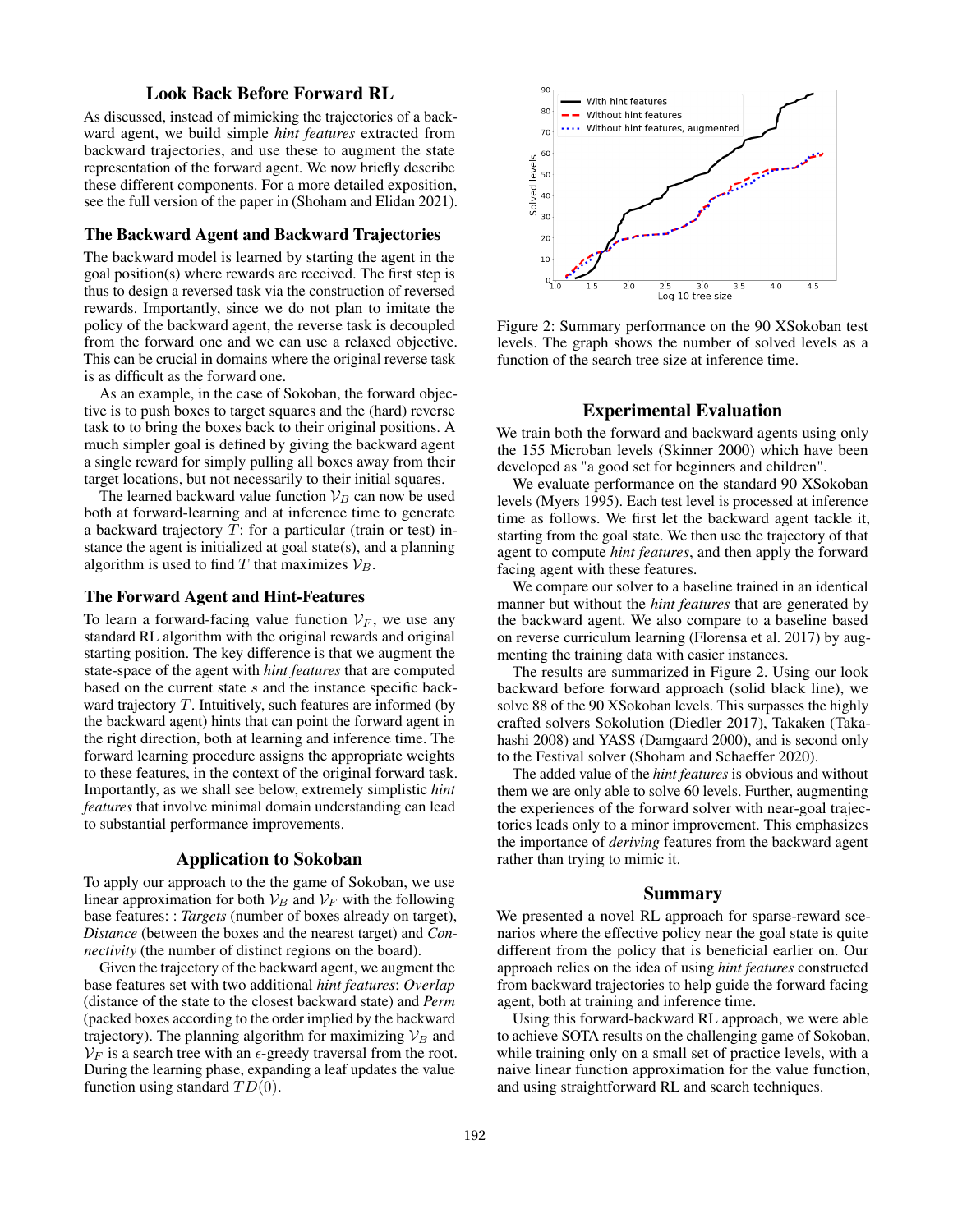## Look Back Before Forward RL

As discussed, instead of mimicking the trajectories of a backward agent, we build simple *hint features* extracted from backward trajectories, and use these to augment the state representation of the forward agent. We now briefly describe these different components. For a more detailed exposition, see the full version of the paper in (Shoham and Elidan 2021).

#### The Backward Agent and Backward Trajectories

The backward model is learned by starting the agent in the goal position(s) where rewards are received. The first step is thus to design a reversed task via the construction of reversed rewards. Importantly, since we do not plan to imitate the policy of the backward agent, the reverse task is decoupled from the forward one and we can use a relaxed objective. This can be crucial in domains where the original reverse task is as difficult as the forward one.

As an example, in the case of Sokoban, the forward objective is to push boxes to target squares and the (hard) reverse task to to bring the boxes back to their original positions. A much simpler goal is defined by giving the backward agent a single reward for simply pulling all boxes away from their target locations, but not necessarily to their initial squares.

The learned backward value function  $\mathcal{V}_B$  can now be used both at forward-learning and at inference time to generate a backward trajectory T: for a particular (train or test) instance the agent is initialized at goal state(s), and a planning algorithm is used to find  $T$  that maximizes  $\mathcal{V}_B$ .

#### The Forward Agent and Hint-Features

To learn a forward-facing value function  $V_F$ , we use any standard RL algorithm with the original rewards and original starting position. The key difference is that we augment the state-space of the agent with *hint features* that are computed based on the current state s and the instance specific backward trajectory  $T$ . Intuitively, such features are informed (by the backward agent) hints that can point the forward agent in the right direction, both at learning and inference time. The forward learning procedure assigns the appropriate weights to these features, in the context of the original forward task. Importantly, as we shall see below, extremely simplistic *hint features* that involve minimal domain understanding can lead to substantial performance improvements.

# Application to Sokoban

To apply our approach to the the game of Sokoban, we use linear approximation for both  $V_B$  and  $V_F$  with the following base features: : *Targets* (number of boxes already on target), *Distance* (between the boxes and the nearest target) and *Connectivity* (the number of distinct regions on the board).

Given the trajectory of the backward agent, we augment the base features set with two additional *hint features*: *Overlap* (distance of the state to the closest backward state) and *Perm* (packed boxes according to the order implied by the backward trajectory). The planning algorithm for maximizing  $V_B$  and  $V_F$  is a search tree with an  $\epsilon$ -greedy traversal from the root. During the learning phase, expanding a leaf updates the value function using standard  $TD(0)$ .



Figure 2: Summary performance on the 90 XSokoban test levels. The graph shows the number of solved levels as a function of the search tree size at inference time.

### Experimental Evaluation

We train both the forward and backward agents using only the 155 Microban levels (Skinner 2000) which have been developed as "a good set for beginners and children".

We evaluate performance on the standard 90 XSokoban levels (Myers 1995). Each test level is processed at inference time as follows. We first let the backward agent tackle it, starting from the goal state. We then use the trajectory of that agent to compute *hint features*, and then apply the forward facing agent with these features.

We compare our solver to a baseline trained in an identical manner but without the *hint features* that are generated by the backward agent. We also compare to a baseline based on reverse curriculum learning (Florensa et al. 2017) by augmenting the training data with easier instances.

The results are summarized in Figure 2. Using our look backward before forward approach (solid black line), we solve 88 of the 90 XSokoban levels. This surpasses the highly crafted solvers Sokolution (Diedler 2017), Takaken (Takahashi 2008) and YASS (Damgaard 2000), and is second only to the Festival solver (Shoham and Schaeffer 2020).

The added value of the *hint features* is obvious and without them we are only able to solve 60 levels. Further, augmenting the experiences of the forward solver with near-goal trajectories leads only to a minor improvement. This emphasizes the importance of *deriving* features from the backward agent rather than trying to mimic it.

#### Summary

We presented a novel RL approach for sparse-reward scenarios where the effective policy near the goal state is quite different from the policy that is beneficial earlier on. Our approach relies on the idea of using *hint features* constructed from backward trajectories to help guide the forward facing agent, both at training and inference time.

Using this forward-backward RL approach, we were able to achieve SOTA results on the challenging game of Sokoban, while training only on a small set of practice levels, with a naive linear function approximation for the value function, and using straightforward RL and search techniques.